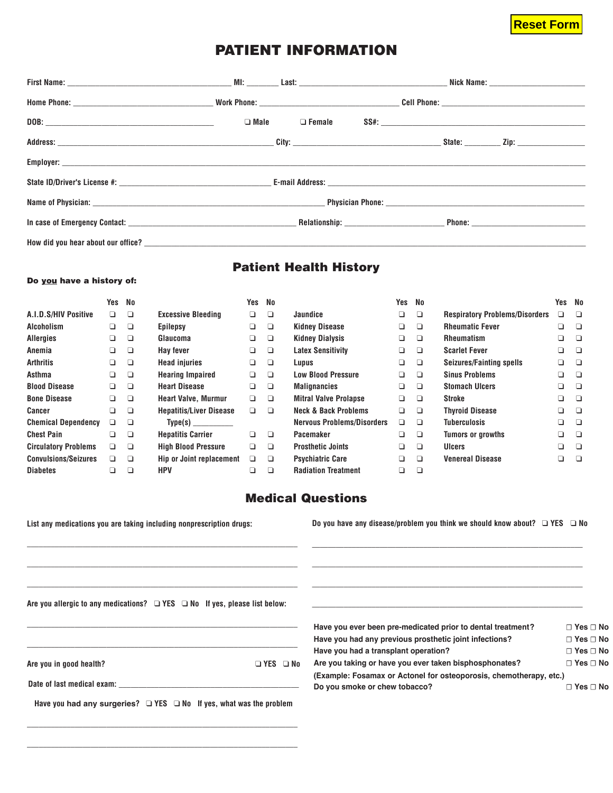## **Reset Form**

## **PATIENT INFORMATION**

|  | $\Box$ Male $\Box$ Female |  |  |
|--|---------------------------|--|--|
|  |                           |  |  |
|  |                           |  |  |
|  |                           |  |  |
|  |                           |  |  |
|  |                           |  |  |
|  |                           |  |  |

## **Patient Health History**

#### **Do you have a history of:**

|                             | Yes    | No     |                                | Yes    | No     |                                   | Yes | No     |                                       | Yes No |                                                                                                                |
|-----------------------------|--------|--------|--------------------------------|--------|--------|-----------------------------------|-----|--------|---------------------------------------|--------|----------------------------------------------------------------------------------------------------------------|
| A.I.D.S/HIV Positive        | $\Box$ | ❏      | <b>Excessive Bleeding</b>      | ❏      | $\Box$ | <b>Jaundice</b>                   | ❏   | $\Box$ | <b>Respiratory Problems/Disorders</b> | ❏      | $\Box$                                                                                                         |
| <b>Alcoholism</b>           | ❏      | ❏      | <b>Epilepsy</b>                | ❏      | ▫      | <b>Kidney Disease</b>             | ❏   | ❏      | <b>Rheumatic Fever</b>                | ❏      | o que de la contradición de la contradición de la contradición de la contradición de la contradición de la con |
| <b>Allergies</b>            | ❏      | ❏      | Glaucoma                       | ❏      | $\Box$ | <b>Kidney Dialysis</b>            | ❏   | □      | <b>Rheumatism</b>                     | ❏      | <b>D</b>                                                                                                       |
| Anemia                      | ❏      | $\Box$ | Hay fever                      | ❏      | $\Box$ | <b>Latex Sensitivity</b>          | ❏   | ❏      | <b>Scarlet Fever</b>                  | ❏      | <b>D</b>                                                                                                       |
| <b>Arthritis</b>            | $\Box$ | $\Box$ | <b>Head injuries</b>           | $\Box$ | $\Box$ | Lupus                             | ❏   | ◘      | Seizures/Fainting spells              | ❏      | $\Box$                                                                                                         |
| Asthma                      | ❏      | ◘      | <b>Hearing Impaired</b>        | $\Box$ | $\Box$ | <b>Low Blood Pressure</b>         | ❏   | □      | <b>Sinus Problems</b>                 | ❏      | <b>D</b>                                                                                                       |
| <b>Blood Disease</b>        | ❏      | ◘      | <b>Heart Disease</b>           | $\Box$ | $\Box$ | <b>Malignancies</b>               | ❏   | ◘      | <b>Stomach Ulcers</b>                 | $\Box$ | <b>D</b>                                                                                                       |
| <b>Bone Disease</b>         | ❏      | ◘      | <b>Heart Valve, Murmur</b>     | ▫      | $\Box$ | <b>Mitral Valve Prolapse</b>      | ❏   | $\Box$ | Stroke                                | ❏      | <b>D</b>                                                                                                       |
| Cancer                      | ❏      | $\Box$ | <b>Hepatitis/Liver Disease</b> | $\Box$ | $\Box$ | <b>Neck &amp; Back Problems</b>   | ◻   | $\Box$ | <b>Thyroid Disease</b>                | ❏      | $\Box$                                                                                                         |
| <b>Chemical Dependency</b>  | □      | ❏      | Type(s)                        |        |        | <b>Nervous Problems/Disorders</b> | □   | □      | Tuberculosis                          | ❏      | $\Box$                                                                                                         |
| <b>Chest Pain</b>           | $\Box$ | $\Box$ | <b>Hepatitis Carrier</b>       | $\Box$ | $\Box$ | Pacemaker                         | ◻   | $\Box$ | <b>Tumors or growths</b>              | ❏      | o                                                                                                              |
| <b>Circulatory Problems</b> | ▫      | ◘      | <b>High Blood Pressure</b>     | $\Box$ | $\Box$ | <b>Prosthetic Joints</b>          | ❏   | □      | <b>Ulcers</b>                         | ❏      | o que de la contradición de la contradición de la contradición de la contradición de la contradición de la con |
| <b>Convulsions/Seizures</b> | ▫      | $\Box$ | Hip or Joint replacement       | ▫      | $\Box$ | <b>Psychiatric Care</b>           | ❏   | □      | <b>Venereal Disease</b>               | ◻      | $\Box$                                                                                                         |
| <b>Diabetes</b>             | ❏      | ❏      | <b>HPV</b>                     | ❏      | ◘      | <b>Radiation Treatment</b>        | ◻   | □      |                                       |        |                                                                                                                |

## **Medical Questions**

| List any medications you are taking including nonprescription drugs:                 | Do you have any disease/problem you think we should know about? $\Box$ YES $\Box$ No |                      |  |
|--------------------------------------------------------------------------------------|--------------------------------------------------------------------------------------|----------------------|--|
|                                                                                      |                                                                                      |                      |  |
| Are you allergic to any medications? $\Box$ YES $\Box$ No If yes, please list below: |                                                                                      |                      |  |
|                                                                                      |                                                                                      |                      |  |
|                                                                                      | Have you ever been pre-medicated prior to dental treatment?                          | $\Box$ Yes $\Box$ No |  |
|                                                                                      | Have you had any previous prosthetic joint infections?                               | $\Box$ Yes $\Box$ No |  |
|                                                                                      | Have you had a transplant operation?                                                 | $\Box$ Yes $\Box$ No |  |
| □ YES □ No<br>Are you in good health?                                                | Are you taking or have you ever taken bisphosphonates?                               | $\Box$ Yes $\Box$ No |  |
|                                                                                      | (Example: Fosamax or Actonel for osteoporosis, chemotherapy, etc.)                   |                      |  |
|                                                                                      | Do you smoke or chew tobacco?                                                        | $\Box$ Yes $\Box$ No |  |
| Have you had any surgeries? $\Box$ YES $\Box$ No If yes, what was the problem        |                                                                                      |                      |  |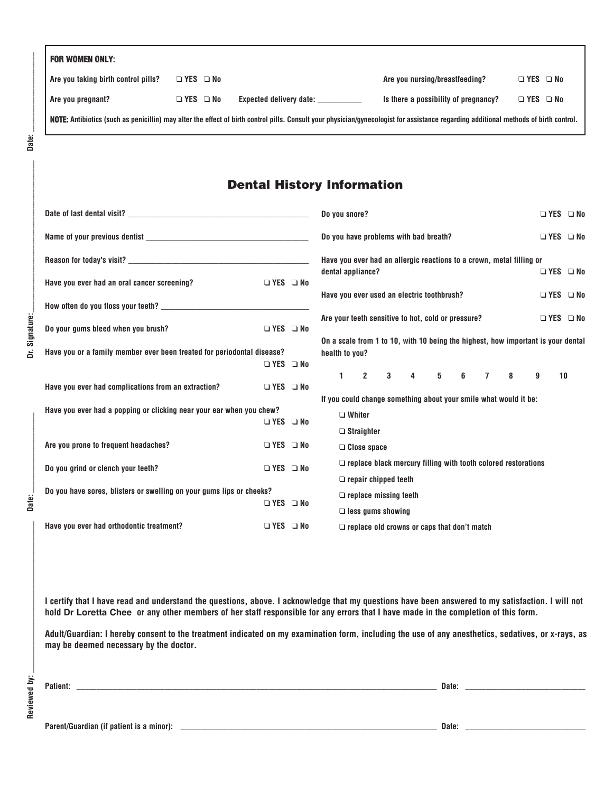| <b>FOR WOMEN ONLY:</b>              |                      |                                                                                                                                                                                       |                                      |                      |  |
|-------------------------------------|----------------------|---------------------------------------------------------------------------------------------------------------------------------------------------------------------------------------|--------------------------------------|----------------------|--|
| Are you taking birth control pills? | $\Box$ YES $\Box$ No |                                                                                                                                                                                       | Are you nursing/breastfeeding?       | $\Box$ YES $\Box$ No |  |
| Are you pregnant?                   | <b>□ YES □ No</b>    | <b>Expected delivery date:</b>                                                                                                                                                        | Is there a possibility of pregnancy? | $\Box$ YES $\Box$ No |  |
|                                     |                      | NOTE: Antibiotics (such as penicillin) may alter the effect of birth control pills. Consult your physician/gynecologist for assistance regarding additional methods of birth control. |                                      |                      |  |

Dr. Signature:

Date:

## **Dental History Information**

|                                                                        |                      | Do you snore?<br>$\Box$ YES $\Box$ No                                                              |
|------------------------------------------------------------------------|----------------------|----------------------------------------------------------------------------------------------------|
|                                                                        |                      | Do you have problems with bad breath?<br>□ YES □ No                                                |
| Reason for today's visit?                                              |                      | Have you ever had an allergic reactions to a crown, metal filling or                               |
| Have you ever had an oral cancer screening?                            | $\Box$ YES $\Box$ No | dental appliance?<br>$\Box$ YES $\Box$ No                                                          |
|                                                                        |                      | Have you ever used an electric toothbrush?<br>$\Box$ YES $\Box$ No                                 |
|                                                                        |                      | Are your teeth sensitive to hot, cold or pressure?<br>$\Box$ YES $\Box$ No                         |
| Do your gums bleed when you brush?                                     | □ YES □ No           |                                                                                                    |
| Have you or a family member ever been treated for periodontal disease? |                      | On a scale from 1 to 10, with 10 being the highest, how important is your dental<br>health to you? |
|                                                                        | $\Box$ YES $\Box$ No |                                                                                                    |
| Have you ever had complications from an extraction?                    | $\Box$ YES $\Box$ No | 3 4 5 6 7<br>$1 \t2$<br>8<br>$\mathbf{g}$<br>10                                                    |
| Have you ever had a popping or clicking near your ear when you chew?   |                      | If you could change something about your smile what would it be:                                   |
|                                                                        | □ YES □ No           | $\Box$ Whiter                                                                                      |
|                                                                        |                      | $\Box$ Straighter                                                                                  |
| Are you prone to frequent headaches?                                   | $\Box$ YES $\Box$ No | $\Box$ Close space                                                                                 |
| Do you grind or clench your teeth?                                     | □ YES □ No           | $\Box$ replace black mercury filling with tooth colored restorations                               |
|                                                                        |                      | $\Box$ repair chipped teeth                                                                        |
| Do you have sores, blisters or swelling on your gums lips or cheeks?   |                      | $\Box$ replace missing teeth                                                                       |
|                                                                        | $\Box$ YES $\Box$ No | $\Box$ less gums showing                                                                           |
| Have you ever had orthodontic treatment?                               | □ YES □ No           | $\Box$ replace old crowns or caps that don't match                                                 |

**I certify that I have read and understand the questions, above. I acknowledge that my questions have been answered to my satisfaction. I will not hold Dr Loretta Chee or any other members of her staff responsible for any errors that I have made in the completion of this form.**

**Adult/Guardian: I hereby consent to the treatment indicated on my examination form, including the use of any anesthetics, sedatives, or x-rays, as may be deemed necessary by the doctor.**

**\_\_\_\_\_\_\_\_\_\_\_\_\_\_\_\_\_\_\_\_\_\_\_\_\_\_\_\_\_\_\_\_\_\_\_\_\_\_\_\_\_\_\_\_\_\_\_\_\_\_\_\_\_\_\_\_\_\_\_\_\_\_\_\_\_\_\_\_\_\_\_\_\_\_\_\_\_\_\_\_\_\_\_\_\_\_\_\_\_\_ Date: \_\_\_\_\_\_\_\_\_\_\_\_\_\_\_\_\_\_\_\_\_\_\_\_\_\_\_\_\_\_**

**Patient:**